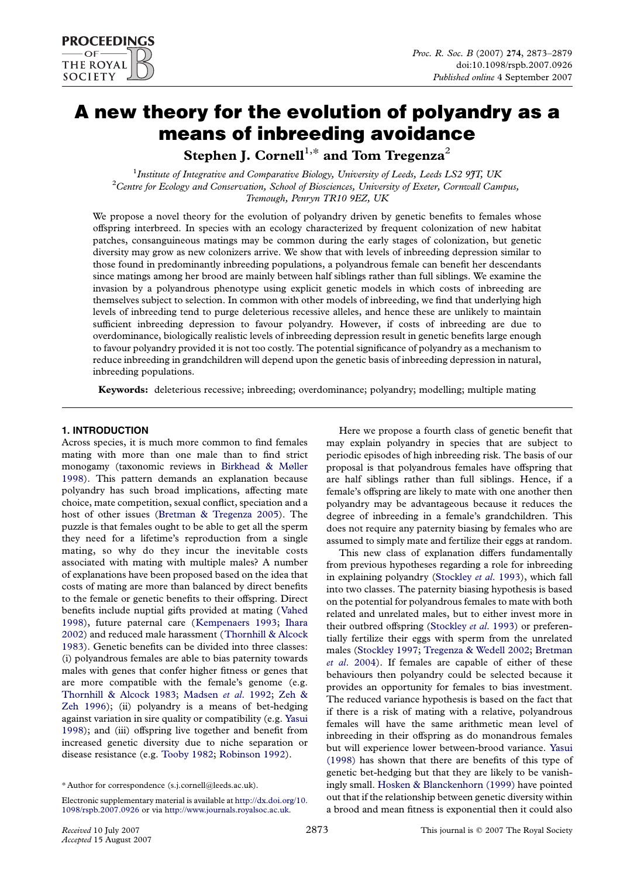

# A new theory for the evolution of polyandry as a means of inbreeding avoidance

Stephen J. Cornell<sup>1,\*</sup> and Tom Tregenza<sup>2</sup>

<sup>1</sup>Institute of Integrative and Comparative Biology, University of Leeds, Leeds LS2 9JT, UK<br><sup>2</sup>Centre for Ecology and Conservation, School of Biosciances, University of Exeter, Cornerall Cam  ${}^{2}$ Centre for Ecology and Conservation, School of Biosciences, University of Exeter, Cornwall Campus, Tremough, Penryn TR10 9EZ, UK

We propose a novel theory for the evolution of polyandry driven by genetic benefits to females whose offspring interbreed. In species with an ecology characterized by frequent colonization of new habitat patches, consanguineous matings may be common during the early stages of colonization, but genetic diversity may grow as new colonizers arrive. We show that with levels of inbreeding depression similar to those found in predominantly inbreeding populations, a polyandrous female can benefit her descendants since matings among her brood are mainly between half siblings rather than full siblings. We examine the invasion by a polyandrous phenotype using explicit genetic models in which costs of inbreeding are themselves subject to selection. In common with other models of inbreeding, we find that underlying high levels of inbreeding tend to purge deleterious recessive alleles, and hence these are unlikely to maintain sufficient inbreeding depression to favour polyandry. However, if costs of inbreeding are due to overdominance, biologically realistic levels of inbreeding depression result in genetic benefits large enough to favour polyandry provided it is not too costly. The potential significance of polyandry as a mechanism to reduce inbreeding in grandchildren will depend upon the genetic basis of inbreeding depression in natural, inbreeding populations.

Keywords: deleterious recessive; inbreeding; overdominance; polyandry; modelling; multiple mating

# 1. INTRODUCTION

Across species, it is much more common to find females mating with more than one male than to find strict monogamy (taxonomic reviews in [Birkhead & Møller](#page-5-0) [1998](#page-5-0)). This pattern demands an explanation because polyandry has such broad implications, affecting mate choice, mate competition, sexual conflict, speciation and a host of other issues [\(Bretman & Tregenza 2005](#page-5-0)). The puzzle is that females ought to be able to get all the sperm they need for a lifetime's reproduction from a single mating, so why do they incur the inevitable costs associated with mating with multiple males? A number of explanations have been proposed based on the idea that costs of mating are more than balanced by direct benefits to the female or genetic benefits to their offspring. Direct benefits include nuptial gifts provided at mating ([Vahed](#page-6-0) [1998](#page-6-0)), future paternal care ([Kempenaers 1993;](#page-5-0) [Ihara](#page-5-0) [2002](#page-5-0)) and reduced male harassment ([Thornhill & Alcock](#page-5-0) [1983](#page-5-0)). Genetic benefits can be divided into three classes: (i) polyandrous females are able to bias paternity towards males with genes that confer higher fitness or genes that are more compatible with the female's genome (e.g. [Thornhill & Alcock 1983;](#page-5-0) [Madsen](#page-5-0) et al. 1992; [Zeh &](#page-6-0) [Zeh 1996\)](#page-6-0); (ii) polyandry is a means of bet-hedging against variation in sire quality or compatibility (e.g. [Yasui](#page-6-0) [1998](#page-6-0)); and (iii) offspring live together and benefit from increased genetic diversity due to niche separation or disease resistance (e.g. [Tooby 1982;](#page-5-0) [Robinson 1992\)](#page-5-0).

Here we propose a fourth class of genetic benefit that may explain polyandry in species that are subject to periodic episodes of high inbreeding risk. The basis of our proposal is that polyandrous females have offspring that are half siblings rather than full siblings. Hence, if a female's offspring are likely to mate with one another then polyandry may be advantageous because it reduces the degree of inbreeding in a female's grandchildren. This does not require any paternity biasing by females who are assumed to simply mate and fertilize their eggs at random.

This new class of explanation differs fundamentally from previous hypotheses regarding a role for inbreeding in explaining polyandry [\(Stockley](#page-5-0) et al. 1993), which fall into two classes. The paternity biasing hypothesis is based on the potential for polyandrous females to mate with both related and unrelated males, but to either invest more in their outbred offspring [\(Stockley](#page-5-0) et al. 1993) or preferentially fertilize their eggs with sperm from the unrelated males [\(Stockley 1997](#page-5-0); [Tregenza & Wedell 2002](#page-6-0); [Bretman](#page-5-0) et al[. 2004\)](#page-5-0). If females are capable of either of these behaviours then polyandry could be selected because it provides an opportunity for females to bias investment. The reduced variance hypothesis is based on the fact that if there is a risk of mating with a relative, polyandrous females will have the same arithmetic mean level of inbreeding in their offspring as do monandrous females but will experience lower between-brood variance. [Yasui](#page-6-0) [\(1998\)](#page-6-0) has shown that there are benefits of this type of genetic bet-hedging but that they are likely to be vanishingly small. [Hosken & Blanckenhorn \(1999\)](#page-5-0) have pointed out that if the relationship between genetic diversity within a brood and mean fitness is exponential then it could also

<sup>\*</sup> Author for correspondence (s.j.cornell@leeds.ac.uk).

Electronic supplementary material is available at [http://dx.doi.org/10.](http://dx.doi.org/10.1098/rspb.2007.0926) [1098/rspb.2007.0926](http://dx.doi.org/10.1098/rspb.2007.0926) or via <http://www.journals.royalsoc.ac.uk>.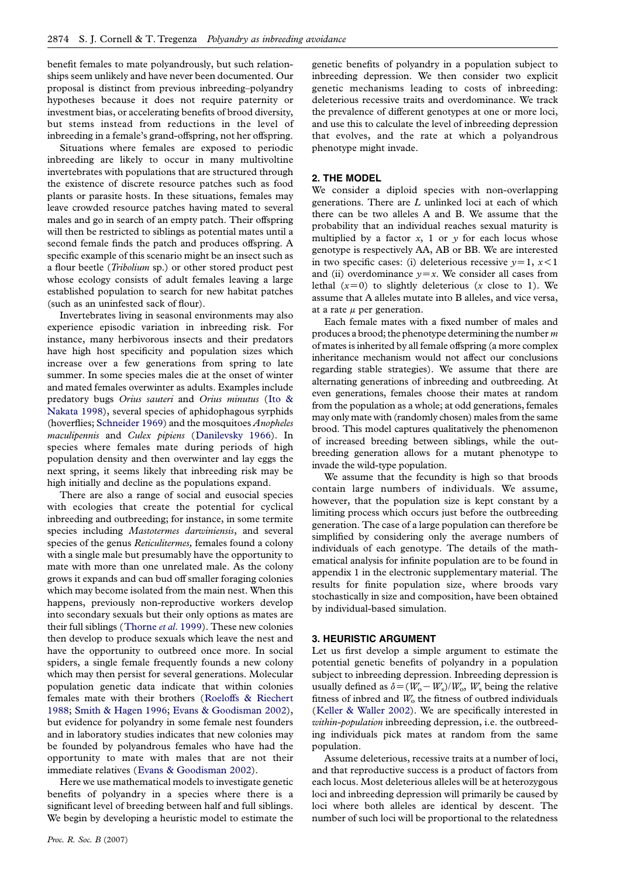benefit females to mate polyandrously, but such relationships seem unlikely and have never been documented. Our proposal is distinct from previous inbreeding–polyandry hypotheses because it does not require paternity or investment bias, or accelerating benefits of brood diversity, but stems instead from reductions in the level of inbreeding in a female's grand-offspring, not her offspring.

Situations where females are exposed to periodic inbreeding are likely to occur in many multivoltine invertebrates with populations that are structured through the existence of discrete resource patches such as food plants or parasite hosts. In these situations, females may leave crowded resource patches having mated to several males and go in search of an empty patch. Their offspring will then be restricted to siblings as potential mates until a second female finds the patch and produces offspring. A specific example of this scenario might be an insect such as a flour beetle (Tribolium sp.) or other stored product pest whose ecology consists of adult females leaving a large established population to search for new habitat patches (such as an uninfested sack of flour).

Invertebrates living in seasonal environments may also experience episodic variation in inbreeding risk. For instance, many herbivorous insects and their predators have high host specificity and population sizes which increase over a few generations from spring to late summer. In some species males die at the onset of winter and mated females overwinter as adults. Examples include predatory bugs Orius sauteri and Orius minutus ([Ito &](#page-5-0) [Nakata 1998\)](#page-5-0), several species of aphidophagous syrphids (hoverflies; [Schneider 1969\)](#page-5-0) and the mosquitoes Anopheles maculipennis and Culex pipiens ([Danilevsky 1966\)](#page-5-0). In species where females mate during periods of high population density and then overwinter and lay eggs the next spring, it seems likely that inbreeding risk may be high initially and decline as the populations expand.

There are also a range of social and eusocial species with ecologies that create the potential for cyclical inbreeding and outbreeding; for instance, in some termite species including Mastotermes darwiniensis, and several species of the genus *Reticulitermes*, females found a colony with a single male but presumably have the opportunity to mate with more than one unrelated male. As the colony grows it expands and can bud off smaller foraging colonies which may become isolated from the main nest. When this happens, previously non-reproductive workers develop into secondary sexuals but their only options as mates are their full siblings ([Thorne](#page-5-0) et al. 1999). These new colonies then develop to produce sexuals which leave the nest and have the opportunity to outbreed once more. In social spiders, a single female frequently founds a new colony which may then persist for several generations. Molecular population genetic data indicate that within colonies females mate with their brothers ([Roeloffs & Riechert](#page-5-0) [1988](#page-5-0); [Smith & Hagen 1996](#page-5-0); [Evans & Goodisman 2002](#page-5-0)), but evidence for polyandry in some female nest founders and in laboratory studies indicates that new colonies may be founded by polyandrous females who have had the opportunity to mate with males that are not their immediate relatives ([Evans & Goodisman 2002](#page-5-0)).

Here we use mathematical models to investigate genetic benefits of polyandry in a species where there is a significant level of breeding between half and full siblings. We begin by developing a heuristic model to estimate the genetic benefits of polyandry in a population subject to inbreeding depression. We then consider two explicit genetic mechanisms leading to costs of inbreeding: deleterious recessive traits and overdominance. We track the prevalence of different genotypes at one or more loci, and use this to calculate the level of inbreeding depression that evolves, and the rate at which a polyandrous phenotype might invade.

## 2. THE MODEL

We consider a diploid species with non-overlapping generations. There are  $L$  unlinked loci at each of which there can be two alleles A and B. We assume that the probability that an individual reaches sexual maturity is multiplied by a factor  $x$ , 1 or  $y$  for each locus whose genotype is respectively AA, AB or BB. We are interested in two specific cases: (i) deleterious recessive  $y=1, x<1$ and (ii) overdominance  $y=x$ . We consider all cases from lethal  $(x=0)$  to slightly deleterious  $(x \text{ close to } 1)$ . We assume that A alleles mutate into B alleles, and vice versa, at a rate  $\mu$  per generation.

Each female mates with a fixed number of males and produces a brood; the phenotype determining the number  $m$ of mates is inherited by all female offspring (a more complex inheritance mechanism would not affect our conclusions regarding stable strategies). We assume that there are alternating generations of inbreeding and outbreeding. At even generations, females choose their mates at random from the population as a whole; at odd generations, females may only mate with (randomly chosen) males from the same brood. This model captures qualitatively the phenomenon of increased breeding between siblings, while the outbreeding generation allows for a mutant phenotype to invade the wild-type population.

We assume that the fecundity is high so that broods contain large numbers of individuals. We assume, however, that the population size is kept constant by a limiting process which occurs just before the outbreeding generation. The case of a large population can therefore be simplified by considering only the average numbers of individuals of each genotype. The details of the mathematical analysis for infinite population are to be found in appendix 1 in the electronic supplementary material. The results for finite population size, where broods vary stochastically in size and composition, have been obtained by individual-based simulation.

## 3. HEURISTIC ARGUMENT

Let us first develop a simple argument to estimate the potential genetic benefits of polyandry in a population subject to inbreeding depression. Inbreeding depression is usually defined as  $\delta = (W_0 - W_s)/W_0$ , W<sub>s</sub> being the relative fitness of inbred and  $W_0$  the fitness of outbred individuals ([Keller & Waller 2002\)](#page-5-0). We are specifically interested in within-population inbreeding depression, i.e. the outbreeding individuals pick mates at random from the same population.

Assume deleterious, recessive traits at a number of loci, and that reproductive success is a product of factors from each locus. Most deleterious alleles will be at heterozygous loci and inbreeding depression will primarily be caused by loci where both alleles are identical by descent. The number of such loci will be proportional to the relatedness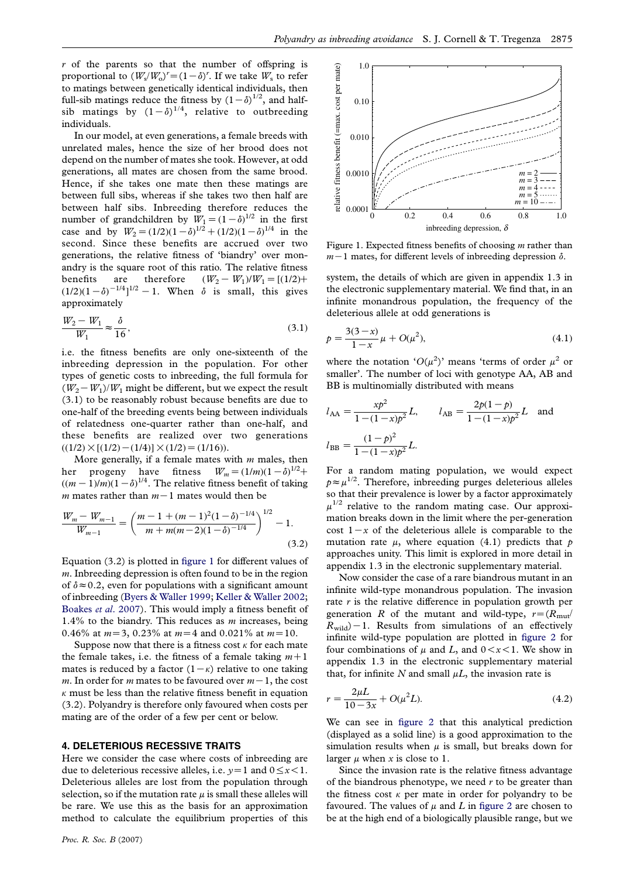$r$  of the parents so that the number of offspring is proportional to  $(W_s/W_o)^r = (1 - \delta)^r$ . If we take  $W_s$  to refer to matings between genetically identical individuals, then full-sib matings reduce the fitness by  $(1-\delta)^{1/2}$ , and halfsib matings by  $(1-\delta)^{1/4}$ , relative to outbreeding individuals.

In our model, at even generations, a female breeds with unrelated males, hence the size of her brood does not depend on the number of mates she took. However, at odd generations, all mates are chosen from the same brood. Hence, if she takes one mate then these matings are between full sibs, whereas if she takes two then half are between half sibs. Inbreeding therefore reduces the number of grandchildren by  $W_1 = (1 - \delta)^{1/2}$  in the first case and by  $W_2 = (1/2)(1 - \delta)^{1/2} + (1/2)(1 - \delta)^{1/4}$  in the second. Since these benefits are accrued over two generations, the relative fitness of 'biandry' over monandry is the square root of this ratio. The relative fitness benefits are therefore  $(W_2-W_1)/W_1=[(1/2)+$  $(1/2)(1-\delta)^{-1/4}$ <sup>1/2</sup> - 1. When  $\delta$  is small, this gives approximately

$$
\frac{W_2 - W_1}{W_1} \approx \frac{\delta}{16},\tag{3.1}
$$

i.e. the fitness benefits are only one-sixteenth of the inbreeding depression in the population. For other types of genetic costs to inbreeding, the full formula for  $(W_2-W_1)/W_1$  might be different, but we expect the result (3.1) to be reasonably robust because benefits are due to one-half of the breeding events being between individuals of relatedness one-quarter rather than one-half, and these benefits are realized over two generations  $((1/2)\times[(1/2)-(1/4)]\times(1/2)=(1/16)).$ 

More generally, if a female mates with  $m$  males, then her progeny have fitness  $W_m = (1/m)(1-\delta)^{1/2} +$  $((m-1)/m)(1-\delta)^{1/4}$ . The relative fitness benefit of taking m mates rather than  $m-1$  mates would then be

$$
\frac{W_m - W_{m-1}}{W_{m-1}} = \left(\frac{m-1 + (m-1)^2 (1-\delta)^{-1/4}}{m + m(m-2)(1-\delta)^{-1/4}}\right)^{1/2} - 1.
$$
\n(3.2)

Equation (3.2) is plotted in figure 1 for different values of  $m$ . Inbreeding depression is often found to be in the region of  $\delta \approx 0.2$ , even for populations with a significant amount of inbreeding [\(Byers & Waller 1999](#page-5-0); [Keller & Waller 2002;](#page-5-0) [Boakes](#page-5-0) et al. 2007). This would imply a fitness benefit of 1.4% to the biandry. This reduces as  $m$  increases, being 0.46% at  $m=3$ , 0.23% at  $m=4$  and 0.021% at  $m=10$ .

Suppose now that there is a fitness cost  $\kappa$  for each mate the female takes, i.e. the fitness of a female taking  $m+1$ mates is reduced by a factor  $(1 - \kappa)$  relative to one taking m. In order for m mates to be favoured over  $m-1$ , the cost  $\kappa$  must be less than the relative fitness benefit in equation (3.2). Polyandry is therefore only favoured when costs per mating are of the order of a few per cent or below.

# 4. DELETERIOUS RECESSIVE TRAITS

Here we consider the case where costs of inbreeding are due to deleterious recessive alleles, i.e.  $y=1$  and  $0 \le x < 1$ . Deleterious alleles are lost from the population through selection, so if the mutation rate  $\mu$  is small these alleles will be rare. We use this as the basis for an approximation method to calculate the equilibrium properties of this



Figure 1. Expected fitness benefits of choosing  $m$  rather than  $m-1$  mates, for different levels of inbreeding depression  $\delta$ .

system, the details of which are given in appendix 1.3 in the electronic supplementary material. We find that, in an infinite monandrous population, the frequency of the deleterious allele at odd generations is

$$
p = \frac{3(3-x)}{1-x} \mu + O(\mu^2),\tag{4.1}
$$

where the notation ' $O(\mu^2)$ ' means 'terms of order  $\mu^2$  or smaller'. The number of loci with genotype AA, AB and BB is multinomially distributed with means

$$
l_{\text{AA}} = \frac{xp^2}{1 - (1 - x)p^2} L, \qquad l_{\text{AB}} = \frac{2p(1 - p)}{1 - (1 - x)p^2} L \quad \text{and}
$$

$$
l_{\text{BB}} = \frac{(1 - p)^2}{1 - (1 - x)p^2} L.
$$

For a random mating population, we would expect  $p \approx \mu^{1/2}$ . Therefore, inbreeding purges deleterious alleles so that their prevalence is lower by a factor approximately  $\mu^{1/2}$  relative to the random mating case. Our approximation breaks down in the limit where the per-generation cost  $1-x$  of the deleterious allele is comparable to the mutation rate  $\mu$ , where equation (4.1) predicts that p approaches unity. This limit is explored in more detail in appendix 1.3 in the electronic supplementary material.

Now consider the case of a rare biandrous mutant in an infinite wild-type monandrous population. The invasion rate  $r$  is the relative difference in population growth per generation R of the mutant and wild-type,  $r=(R_{\text{mut}}/R_{\text{mut}})$  $R_{\text{wild}}$ ) - 1. Results from simulations of an effectively infinite wild-type population are plotted in [figure 2](#page-3-0) for four combinations of  $\mu$  and  $L$ , and  $0 < x < 1$ . We show in appendix 1.3 in the electronic supplementary material that, for infinite N and small  $\mu L$ , the invasion rate is

$$
r = \frac{2\mu L}{10 - 3x} + O(\mu^2 L). \tag{4.2}
$$

We can see in [figure 2](#page-3-0) that this analytical prediction (displayed as a solid line) is a good approximation to the simulation results when  $\mu$  is small, but breaks down for larger  $\mu$  when x is close to 1.

Since the invasion rate is the relative fitness advantage of the biandrous phenotype, we need  $r$  to be greater than the fitness cost  $\kappa$  per mate in order for polyandry to be favoured. The values of  $\mu$  and  $L$  in [figure 2](#page-3-0) are chosen to be at the high end of a biologically plausible range, but we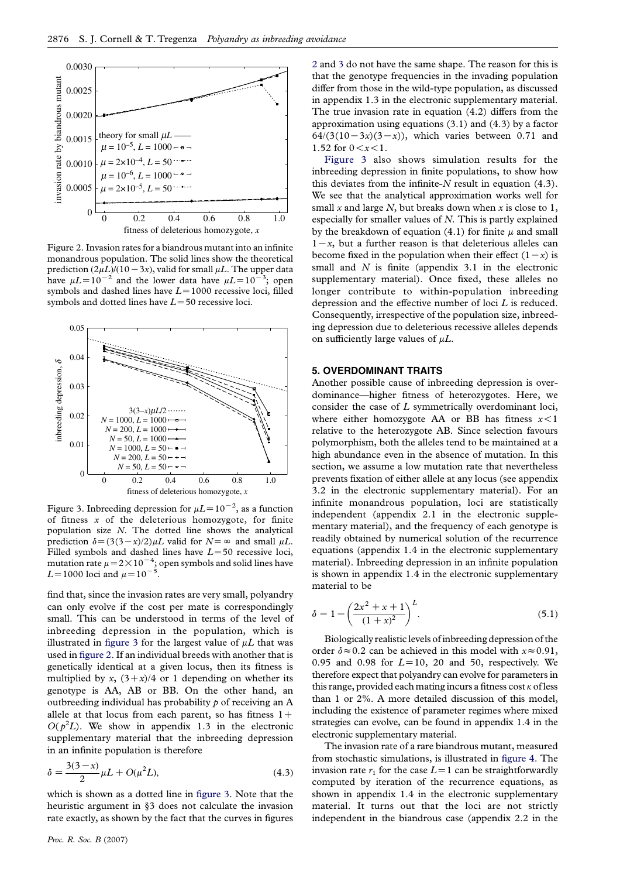<span id="page-3-0"></span>

Figure 2. Invasion rates for a biandrous mutant into an infinite monandrous population. The solid lines show the theoretical prediction  $\left(\frac{2\mu L}{10} - 3x\right)$ , valid for small  $\mu L$ . The upper data have  $\mu L = 10^{-2}$  and the lower data have  $\mu L = 10^{-3}$ ; open symbols and dashed lines have  $L=1000$  recessive loci, filled symbols and dotted lines have  $L=50$  recessive loci.



Figure 3. Inbreeding depression for  $\mu L=10^{-2}$ , as a function of fitness  $x$  of the deleterious homozygote, for finite population size N. The dotted line shows the analytical prediction  $\delta = (3(3-x)/2)\mu L$  valid for  $N = \infty$  and small  $\mu L$ . Filled symbols and dashed lines have  $L=50$  recessive loci, mutation rate  $\mu=2\times 10^{-4}$ ; open symbols and solid lines have  $L=1000$  loci and  $\mu=10^{-7}$ .

find that, since the invasion rates are very small, polyandry can only evolve if the cost per mate is correspondingly small. This can be understood in terms of the level of inbreeding depression in the population, which is illustrated in figure 3 for the largest value of  $\mu$ L that was used in figure 2. If an individual breeds with another that is genetically identical at a given locus, then its fitness is multiplied by x,  $(3+x)/4$  or 1 depending on whether its genotype is AA, AB or BB. On the other hand, an outbreeding individual has probability  $p$  of receiving an A allele at that locus from each parent, so has fitness  $1+$  $O(p^2L)$ . We show in appendix 1.3 in the electronic supplementary material that the inbreeding depression in an infinite population is therefore

$$
\delta = \frac{3(3-x)}{2} \mu L + O(\mu^2 L),\tag{4.3}
$$

which is shown as a dotted line in figure 3. Note that the heuristic argument in §3 does not calculate the invasion rate exactly, as shown by the fact that the curves in figures

2 and 3 do not have the same shape. The reason for this is that the genotype frequencies in the invading population differ from those in the wild-type population, as discussed in appendix 1.3 in the electronic supplementary material. The true invasion rate in equation (4.2) differs from the approximation using equations (3.1) and (4.3) by a factor  $64/(3(10-3x)(3-x))$ , which varies between 0.71 and 1.52 for  $0 < x < 1$ .

Figure 3 also shows simulation results for the inbreeding depression in finite populations, to show how this deviates from the infinite- $N$  result in equation  $(4.3)$ . We see that the analytical approximation works well for small x and large N, but breaks down when x is close to 1, especially for smaller values of N. This is partly explained by the breakdown of equation (4.1) for finite  $\mu$  and small  $1-x$ , but a further reason is that deleterious alleles can become fixed in the population when their effect  $(1-x)$  is small and  $N$  is finite (appendix 3.1 in the electronic supplementary material). Once fixed, these alleles no longer contribute to within-population inbreeding depression and the effective number of loci L is reduced. Consequently, irrespective of the population size, inbreeding depression due to deleterious recessive alleles depends on sufficiently large values of  $\mu L$ .

### 5. OVERDOMINANT TRAITS

Another possible cause of inbreeding depression is overdominance—higher fitness of heterozygotes. Here, we consider the case of L symmetrically overdominant loci, where either homozygote AA or BB has fitness  $x < 1$ relative to the heterozygote AB. Since selection favours polymorphism, both the alleles tend to be maintained at a high abundance even in the absence of mutation. In this section, we assume a low mutation rate that nevertheless prevents fixation of either allele at any locus (see appendix 3.2 in the electronic supplementary material). For an infinite monandrous population, loci are statistically independent (appendix 2.1 in the electronic supplementary material), and the frequency of each genotype is readily obtained by numerical solution of the recurrence equations (appendix 1.4 in the electronic supplementary material). Inbreeding depression in an infinite population is shown in appendix 1.4 in the electronic supplementary material to be

$$
\delta = 1 - \left(\frac{2x^2 + x + 1}{(1 + x)^2}\right)^L.
$$
\n(5.1)

Biologically realistic levels of inbreeding depression of the order  $\delta \approx 0.2$  can be achieved in this model with  $x \approx 0.91$ , 0.95 and 0.98 for  $L=10$ , 20 and 50, respectively. We therefore expect that polyandry can evolve for parameters in this range, provided each mating incurs a fitness cost  $\kappa$  of less than 1 or 2%. A more detailed discussion of this model, including the existence of parameter regimes where mixed strategies can evolve, can be found in appendix 1.4 in the electronic supplementary material.

The invasion rate of a rare biandrous mutant, measured from stochastic simulations, is illustrated in [figure 4.](#page-4-0) The invasion rate  $r_1$  for the case  $L=1$  can be straightforwardly computed by iteration of the recurrence equations, as shown in appendix 1.4 in the electronic supplementary material. It turns out that the loci are not strictly independent in the biandrous case (appendix 2.2 in the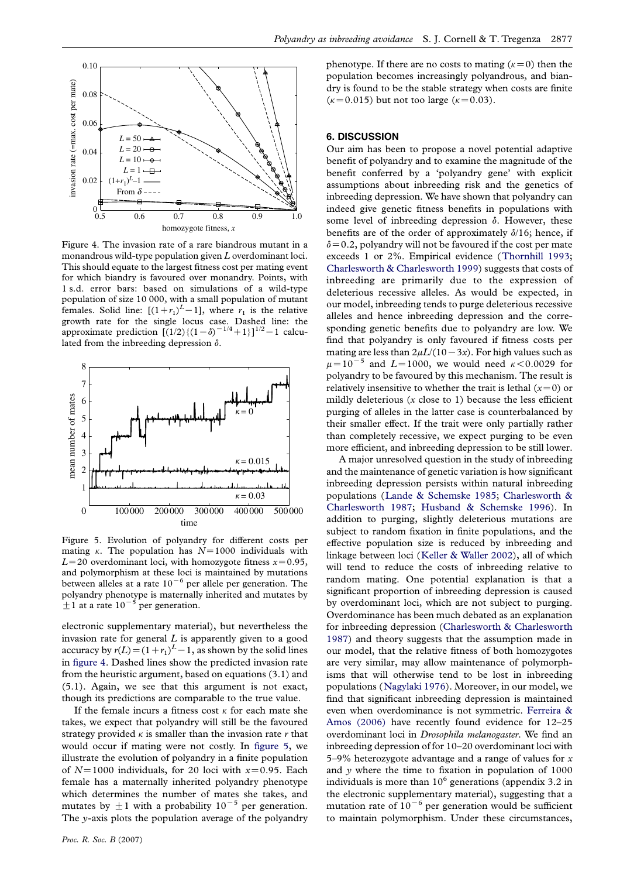<span id="page-4-0"></span>

Figure 4. The invasion rate of a rare biandrous mutant in a monandrous wild-type population given L overdominant loci. This should equate to the largest fitness cost per mating event for which biandry is favoured over monandry. Points, with 1 s.d. error bars: based on simulations of a wild-type population of size 10 000, with a small population of mutant females. Solid line:  $[(1+r_1)^L-1]$ , where  $r_1$  is the relative growth rate for the single locus case. Dashed line: the approximate prediction  $[(1/2)\{(1-\delta)^{-1/4}+1\}]^{1/2}-1$  calculated from the inbreeding depression  $\delta$ .



Figure 5. Evolution of polyandry for different costs per mating  $\kappa$ . The population has  $N=1000$  individuals with  $L=20$  overdominant loci, with homozygote fitness  $x=0.95$ , and polymorphism at these loci is maintained by mutations between alleles at a rate  $10^{-6}$  per allele per generation. The polyandry phenotype is maternally inherited and mutates by  $\pm$ 1 at a rate 10<sup>-5</sup> per generation.

electronic supplementary material), but nevertheless the invasion rate for general  $L$  is apparently given to a good accuracy by  $r(L) = (1 + r_1)^L - 1$ , as shown by the solid lines in figure 4. Dashed lines show the predicted invasion rate from the heuristic argument, based on equations (3.1) and (5.1). Again, we see that this argument is not exact, though its predictions are comparable to the true value.

If the female incurs a fitness cost  $\kappa$  for each mate she takes, we expect that polyandry will still be the favoured strategy provided  $\kappa$  is smaller than the invasion rate  $r$  that would occur if mating were not costly. In figure 5, we illustrate the evolution of polyandry in a finite population of  $N=1000$  individuals, for 20 loci with  $x=0.95$ . Each female has a maternally inherited polyandry phenotype which determines the number of mates she takes, and mutates by  $\pm 1$  with a probability  $10^{-5}$  per generation. The y-axis plots the population average of the polyandry

phenotype. If there are no costs to mating  $(k=0)$  then the population becomes increasingly polyandrous, and biandry is found to be the stable strategy when costs are finite ( $\kappa$ =0.015) but not too large ( $\kappa$ =0.03).

#### 6. DISCUSSION

Our aim has been to propose a novel potential adaptive benefit of polyandry and to examine the magnitude of the benefit conferred by a 'polyandry gene' with explicit assumptions about inbreeding risk and the genetics of inbreeding depression. We have shown that polyandry can indeed give genetic fitness benefits in populations with some level of inbreeding depression  $\delta$ . However, these benefits are of the order of approximately  $\delta/16$ ; hence, if  $\delta$ =0.2, polyandry will not be favoured if the cost per mate exceeds 1 or 2%. Empirical evidence ([Thornhill 1993;](#page-5-0) [Charlesworth & Charlesworth 1999](#page-5-0)) suggests that costs of inbreeding are primarily due to the expression of deleterious recessive alleles. As would be expected, in our model, inbreeding tends to purge deleterious recessive alleles and hence inbreeding depression and the corresponding genetic benefits due to polyandry are low. We find that polyandry is only favoured if fitness costs per mating are less than  $2\mu L/(10-3x)$ . For high values such as  $\mu=10^{-5}$  and  $L=1000$ , we would need  $\kappa$  < 0.0029 for polyandry to be favoured by this mechanism. The result is relatively insensitive to whether the trait is lethal  $(x=0)$  or mildly deleterious  $(x \text{ close to } 1)$  because the less efficient purging of alleles in the latter case is counterbalanced by their smaller effect. If the trait were only partially rather than completely recessive, we expect purging to be even more efficient, and inbreeding depression to be still lower.

A major unresolved question in the study of inbreeding and the maintenance of genetic variation is how significant inbreeding depression persists within natural inbreeding populations ([Lande & Schemske 1985](#page-5-0); [Charlesworth &](#page-5-0) [Charlesworth 1987;](#page-5-0) [Husband & Schemske 1996](#page-5-0)). In addition to purging, slightly deleterious mutations are subject to random fixation in finite populations, and the effective population size is reduced by inbreeding and linkage between loci ([Keller & Waller 2002](#page-5-0)), all of which will tend to reduce the costs of inbreeding relative to random mating. One potential explanation is that a significant proportion of inbreeding depression is caused by overdominant loci, which are not subject to purging. Overdominance has been much debated as an explanation for inbreeding depression [\(Charlesworth & Charlesworth](#page-5-0) [1987](#page-5-0)) and theory suggests that the assumption made in our model, that the relative fitness of both homozygotes are very similar, may allow maintenance of polymorphisms that will otherwise tend to be lost in inbreeding populations ([Nagylaki 1976\)](#page-5-0). Moreover, in our model, we find that significant inbreeding depression is maintained even when overdominance is not symmetric. [Ferreira &](#page-5-0) [Amos \(2006\)](#page-5-0) have recently found evidence for 12–25 overdominant loci in Drosophila melanogaster. We find an inbreeding depression of for 10–20 overdominant loci with 5–9% heterozygote advantage and a range of values for  $x$ and  $y$  where the time to fixation in population of 1000 individuals is more than  $10^6$  generations (appendix 3.2 in the electronic supplementary material), suggesting that a mutation rate of  $10^{-6}$  per generation would be sufficient to maintain polymorphism. Under these circumstances,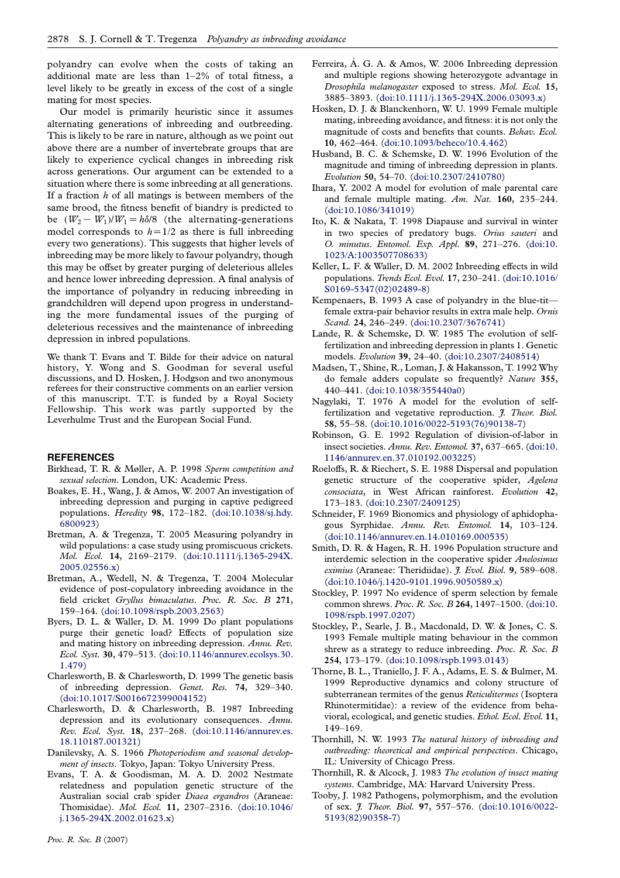<span id="page-5-0"></span>polyandry can evolve when the costs of taking an additional mate are less than 1–2% of total fitness, a level likely to be greatly in excess of the cost of a single mating for most species.

Our model is primarily heuristic since it assumes alternating generations of inbreeding and outbreeding. This is likely to be rare in nature, although as we point out above there are a number of invertebrate groups that are likely to experience cyclical changes in inbreeding risk across generations. Our argument can be extended to a situation where there is some inbreeding at all generations. If a fraction  $h$  of all matings is between members of the same brood, the fitness benefit of biandry is predicted to be  $(W_2-W_1)/W_1=h\delta/8$  (the alternating-generations model corresponds to  $h=1/2$  as there is full inbreeding every two generations). This suggests that higher levels of inbreeding may be more likely to favour polyandry, though this may be offset by greater purging of deleterious alleles and hence lower inbreeding depression. A final analysis of the importance of polyandry in reducing inbreeding in grandchildren will depend upon progress in understanding the more fundamental issues of the purging of deleterious recessives and the maintenance of inbreeding depression in inbred populations.

We thank T. Evans and T. Bilde for their advice on natural history, Y. Wong and S. Goodman for several useful discussions, and D. Hosken, J. Hodgson and two anonymous referees for their constructive comments on an earlier version of this manuscript. T.T. is funded by a Royal Society Fellowship. This work was partly supported by the Leverhulme Trust and the European Social Fund.

#### **REFERENCES**

- Birkhead, T. R. & Møller, A. P. 1998 Sperm competition and sexual selection. London, UK: Academic Press.
- Boakes, E. H., Wang, J. & Amos, W. 2007 An investigation of inbreeding depression and purging in captive pedigreed populations. Heredity 98, 172-182. ([doi:10.1038/sj.hdy.](http://dx.doi.org/doi:10.1038/sj.hdy.6800923) [6800923\)](http://dx.doi.org/doi:10.1038/sj.hdy.6800923)
- Bretman, A. & Tregenza, T. 2005 Measuring polyandry in wild populations: a case study using promiscuous crickets. Mol. Ecol. 14, 2169–2179. [\(doi:10.1111/j.1365-294X.](http://dx.doi.org/doi:10.1111/j.1365-294X.2005.02556.x) [2005.02556.x\)](http://dx.doi.org/doi:10.1111/j.1365-294X.2005.02556.x)
- Bretman, A., Wedell, N. & Tregenza, T. 2004 Molecular evidence of post-copulatory inbreeding avoidance in the field cricket Gryllus bimaculatus. Proc. R. Soc. B 271, 159–164. [\(doi:10.1098/rspb.2003.2563\)](http://dx.doi.org/doi:10.1098/rspb.2003.2563)
- Byers, D. L. & Waller, D. M. 1999 Do plant populations purge their genetic load? Effects of population size and mating history on inbreeding depression. Annu. Rev. Ecol. Syst. 30, 479–513. ([doi:10.1146/annurev.ecolsys.30.](http://dx.doi.org/doi:10.1146/annurev.ecolsys.30.1.479) [1.479\)](http://dx.doi.org/doi:10.1146/annurev.ecolsys.30.1.479)
- Charlesworth, B. & Charlesworth, D. 1999 The genetic basis of inbreeding depression. Genet. Res. 74, 329–340. ([doi:10.1017/S0016672399004152](http://dx.doi.org/doi:10.1017/S0016672399004152))
- Charlesworth, D. & Charlesworth, B. 1987 Inbreeding depression and its evolutionary consequences. Annu. Rev. Ecol. Syst. 18, 237-268. ([doi:10.1146/annurev.es.](http://dx.doi.org/doi:10.1146/annurev.es.18.110187.001321) [18.110187.001321\)](http://dx.doi.org/doi:10.1146/annurev.es.18.110187.001321)
- Danilevsky, A. S. 1966 Photoperiodism and seasonal development of insects. Tokyo, Japan: Tokyo University Press.
- Evans, T. A. & Goodisman, M. A. D. 2002 Nestmate relatedness and population genetic structure of the Australian social crab spider Diaea ergandros (Araneae: Thomisidae). Mol. Ecol. 11, 2307–2316. ([doi:10.1046/](http://dx.doi.org/doi:10.1046/j.1365-294X.2002.01623.x) [j.1365-294X.2002.01623.x](http://dx.doi.org/doi:10.1046/j.1365-294X.2002.01623.x))
- Ferreira, Á. G. A. & Amos, W. 2006 Inbreeding depression and multiple regions showing heterozygote advantage in Drosophila melanogaster exposed to stress. Mol. Ecol. 15, 3885–3893. [\(doi:10.1111/j.1365-294X.2006.03093.x\)](http://dx.doi.org/doi:10.1111/j.1365-294X.2006.03093.x)
- Hosken, D. J. & Blanckenhorn, W. U. 1999 Female multiple mating, inbreeding avoidance, and fitness: it is not only the magnitude of costs and benefits that counts. Behav. Ecol. 10, 462–464. ([doi:10.1093/beheco/10.4.462\)](http://dx.doi.org/doi:10.1093/beheco/10.4.462)
- Husband, B. C. & Schemske, D. W. 1996 Evolution of the magnitude and timing of inbreeding depression in plants. Evolution 50, 54–70. ([doi:10.2307/2410780](http://dx.doi.org/doi:10.2307/2410780))
- Ihara, Y. 2002 A model for evolution of male parental care and female multiple mating. Am. Nat. 160, 235–244. ([doi:10.1086/341019](http://dx.doi.org/doi:10.1086/341019))
- Ito, K. & Nakata, T. 1998 Diapause and survival in winter in two species of predatory bugs. Orius sauteri and O. minutus. Entomol. Exp. Appl. 89, 271–276. ([doi:10.](http://dx.doi.org/doi:10.1023/A:1003507708633) [1023/A:1003507708633](http://dx.doi.org/doi:10.1023/A:1003507708633))
- Keller, L. F. & Waller, D. M. 2002 Inbreeding effects in wild populations. Trends Ecol. Evol. 17, 230–241. ([doi:10.1016/](http://dx.doi.org/doi:10.1016/S0169-5347(02)02489-8) [S0169-5347\(02\)02489-8](http://dx.doi.org/doi:10.1016/S0169-5347(02)02489-8))
- Kempenaers, B. 1993 A case of polyandry in the blue-tit female extra-pair behavior results in extra male help. Ornis Scand. 24, 246–249. [\(doi:10.2307/3676741\)](http://dx.doi.org/doi:10.2307/3676741)
- Lande, R. & Schemske, D. W. 1985 The evolution of selffertilization and inbreeding depression in plants 1. Genetic models. Evolution 39, 24–40. [\(doi:10.2307/2408514\)](http://dx.doi.org/doi:10.2307/2408514)
- Madsen, T., Shine, R., Loman, J. & Hakansson, T. 1992 Why do female adders copulate so frequently? Nature 355, 440–441. [\(doi:10.1038/355440a0](http://dx.doi.org/doi:10.1038/355440a0))
- Nagylaki, T. 1976 A model for the evolution of selffertilization and vegetative reproduction. *J. Theor. Biol.* 58, 55–58. [\(doi:10.1016/0022-5193\(76\)90138-7\)](http://dx.doi.org/doi:10.1016/0022-5193(76)90138-7)
- Robinson, G. E. 1992 Regulation of division-of-labor in insect societies. Annu. Rev. Entomol. 37, 637–665. ([doi:10.](http://dx.doi.org/doi:10.1146/annurev.en.37.010192.003225) [1146/annurev.en.37.010192.003225\)](http://dx.doi.org/doi:10.1146/annurev.en.37.010192.003225)
- Roeloffs, R. & Riechert, S. E. 1988 Dispersal and population genetic structure of the cooperative spider, Agelena consociata, in West African rainforest. Evolution 42, 173–183. [\(doi:10.2307/2409125\)](http://dx.doi.org/doi:10.2307/2409125)
- Schneider, F. 1969 Bionomics and physiology of aphidophagous Syrphidae. Annu. Rev. Entomol. 14, 103–124. ([doi:10.1146/annurev.en.14.010169.000535\)](http://dx.doi.org/doi:10.1146/annurev.en.14.010169.000535)
- Smith, D. R. & Hagen, R. H. 1996 Population structure and interdemic selection in the cooperative spider Anelosimus eximius (Araneae: Theridiidae). J. Evol. Biol. 9, 589-608. ([doi:10.1046/j.1420-9101.1996.9050589.x](http://dx.doi.org/doi:10.1046/j.1420-9101.1996.9050589.x))
- Stockley, P. 1997 No evidence of sperm selection by female common shrews. Proc. R. Soc. B 264, 1497–1500. ([doi:10.](http://dx.doi.org/doi:10.1098/rspb.1997.0207) [1098/rspb.1997.0207](http://dx.doi.org/doi:10.1098/rspb.1997.0207))
- Stockley, P., Searle, J. B., Macdonald, D. W. & Jones, C. S. 1993 Female multiple mating behaviour in the common shrew as a strategy to reduce inbreeding. Proc. R. Soc. B 254, 173–179. ([doi:10.1098/rspb.1993.0143](http://dx.doi.org/doi:10.1098/rspb.1993.0143))
- Thorne, B. L., Traniello, J. F. A., Adams, E. S. & Bulmer, M. 1999 Reproductive dynamics and colony structure of subterranean termites of the genus Reticulitermes (Isoptera Rhinotermitidae): a review of the evidence from behavioral, ecological, and genetic studies. Ethol. Ecol. Evol. 11, 149–169.
- Thornhill, N. W. 1993 The natural history of inbreeding and outbreeding: theoretical and empirical perspectives. Chicago, IL: University of Chicago Press.
- Thornhill, R. & Alcock, J. 1983 The evolution of insect mating systems. Cambridge, MA: Harvard University Press.
- Tooby, J. 1982 Pathogens, polymorphism, and the evolution of sex. *J. Theor. Biol.* 97, 557–576. ([doi:10.1016/0022-](http://dx.doi.org/doi:10.1016/0022-5193(82)90358-7) [5193\(82\)90358-7\)](http://dx.doi.org/doi:10.1016/0022-5193(82)90358-7)